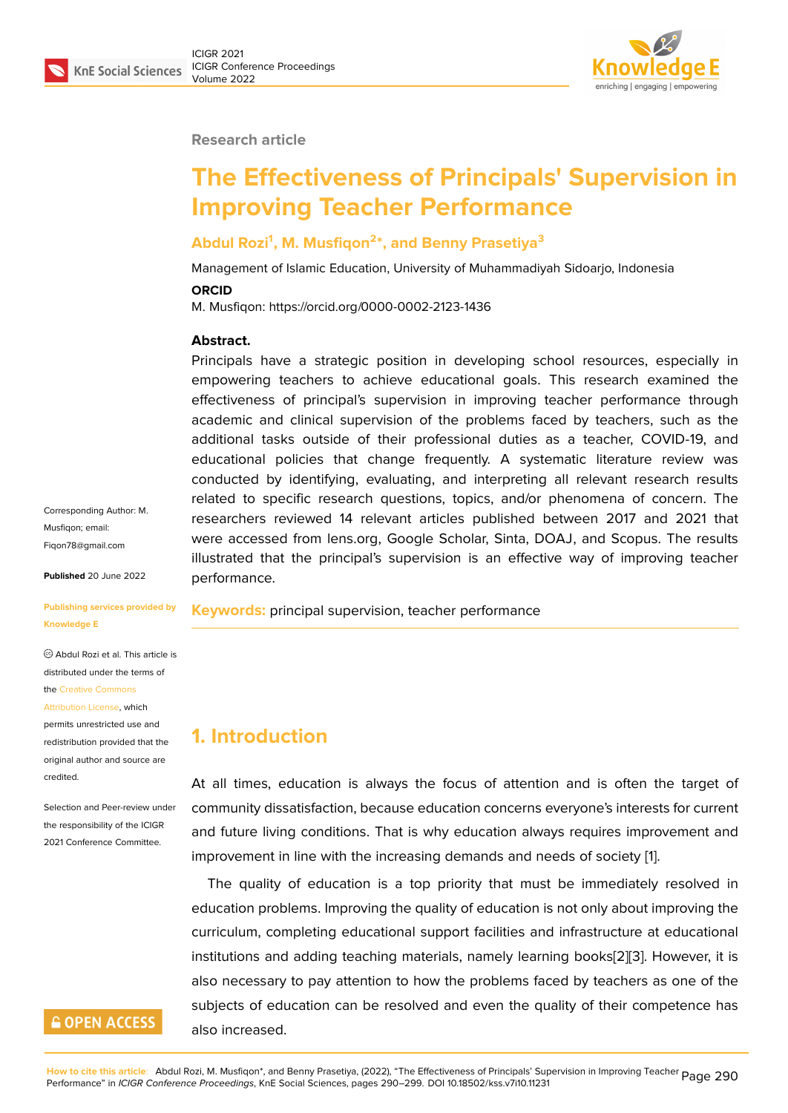

#### **Research article**

# **The Effectiveness of Principals' Supervision in Improving Teacher Performance**

### **Abdul Rozi<sup>1</sup> , M. Musfiqon<sup>2</sup> \*, and Benny Prasetiya<sup>3</sup>**

Management of Islamic Education, University of Muhammadiyah Sidoarjo, Indonesia

#### **ORCID**

M. Musfiqon: https://orcid.org/0000-0002-2123-1436

#### **Abstract.**

Principals have a strategic position in developing school resources, especially in empowering teachers to achieve educational goals. This research examined the effectiveness of principal's supervision in improving teacher performance through academic and clinical supervision of the problems faced by teachers, such as the additional tasks outside of their professional duties as a teacher, COVID-19, and educational policies that change frequently. A systematic literature review was conducted by identifying, evaluating, and interpreting all relevant research results related to specific research questions, topics, and/or phenomena of concern. The researchers reviewed 14 relevant articles published between 2017 and 2021 that were accessed from lens.org, Google Scholar, Sinta, DOAJ, and Scopus. The results illustrated that the principal's supervision is an effective way of improving teacher performance.

**Keywords:** principal supervision, teacher performance

### **1. Introduction**

At all times, education is always the focus of attention and is often the target of community dissatisfaction, because education concerns everyone's interests for current and future living conditions. That is why education always requires improvement and improvement in line with the increasing demands and needs of society [1].

The quality of education is a top priority that must be immediately resolved in education problems. Improving the quality of education is not only about improving the curriculum, completing educational support facilities and infrastructure [a](#page-8-0)t educational institutions and adding teaching materials, namely learning books[2][3]. However, it is also necessary to pay attention to how the problems faced by teachers as one of the subjects of education can be resolved and even the quality of their competence has also increased.

Corresponding Author: M. Musfiqon; email: Fiqon78@gmail.com

**Published** 20 June 2022

#### **[Publishing services](mailto:Fiqon78@gmail.com) provided by Knowledge E**

Abdul Rozi et al. This article is distributed under the terms of the Creative Commons

#### Attribution License, which

permits unrestricted use and redistribution provided that the orig[inal author and sou](https://creativecommons.org/licenses/by/4.0/)rce are [credited.](https://creativecommons.org/licenses/by/4.0/)

Selection and Peer-review under the responsibility of the ICIGR 2021 Conference Committee.

## **GOPEN ACCESS**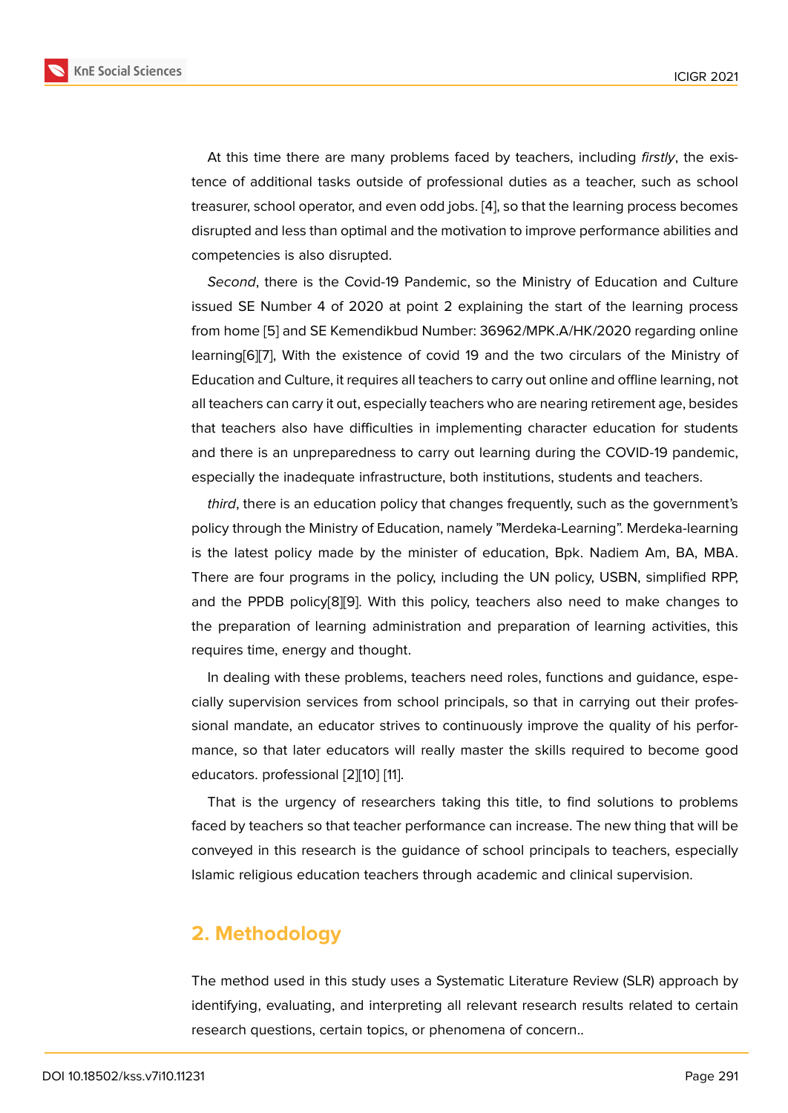At this time there are many problems faced by teachers, including *firstly*, the existence of additional tasks outside of professional duties as a teacher, such as school treasurer, school operator, and even odd jobs. [4], so that the learning process becomes disrupted and less than optimal and the motivation to improve performance abilities and competencies is also disrupted.

*Second*, there is the Covid-19 Pandemic, s[o](#page-8-1) the Ministry of Education and Culture issued SE Number 4 of 2020 at point 2 explaining the start of the learning process from home [5] and SE Kemendikbud Number: 36962/MPK.A/HK/2020 regarding online learning[6][7], With the existence of covid 19 and the two circulars of the Ministry of Education and Culture, it requires all teachers to carry out online and offline learning, not all teachers [ca](#page-8-2)n carry it out, especially teachers who are nearing retirement age, besides that tea[ch](#page-8-3)[ers](#page-8-4) also have difficulties in implementing character education for students and there is an unpreparedness to carry out learning during the COVID-19 pandemic, especially the inadequate infrastructure, both institutions, students and teachers.

*third*, there is an education policy that changes frequently, such as the government's policy through the Ministry of Education, namely "Merdeka-Learning". Merdeka-learning is the latest policy made by the minister of education, Bpk. Nadiem Am, BA, MBA. There are four programs in the policy, including the UN policy, USBN, simplified RPP, and the PPDB policy[8][9]. With this policy, teachers also need to make changes to the preparation of learning administration and preparation of learning activities, this requires time, energy and thought.

In dealing with the[se](#page-8-5) [pr](#page-8-6)oblems, teachers need roles, functions and guidance, especially supervision services from school principals, so that in carrying out their professional mandate, an educator strives to continuously improve the quality of his performance, so that later educators will really master the skills required to become good educators. professional [2][10] [11].

That is the urgency of researchers taking this title, to find solutions to problems faced by teachers so that teacher performance can increase. The new thing that will be conveyed in this resear[ch](#page-8-7) [is](#page-8-8) t[he](#page-8-9) guidance of school principals to teachers, especially Islamic religious education teachers through academic and clinical supervision.

### **2. Methodology**

The method used in this study uses a Systematic Literature Review (SLR) approach by identifying, evaluating, and interpreting all relevant research results related to certain research questions, certain topics, or phenomena of concern..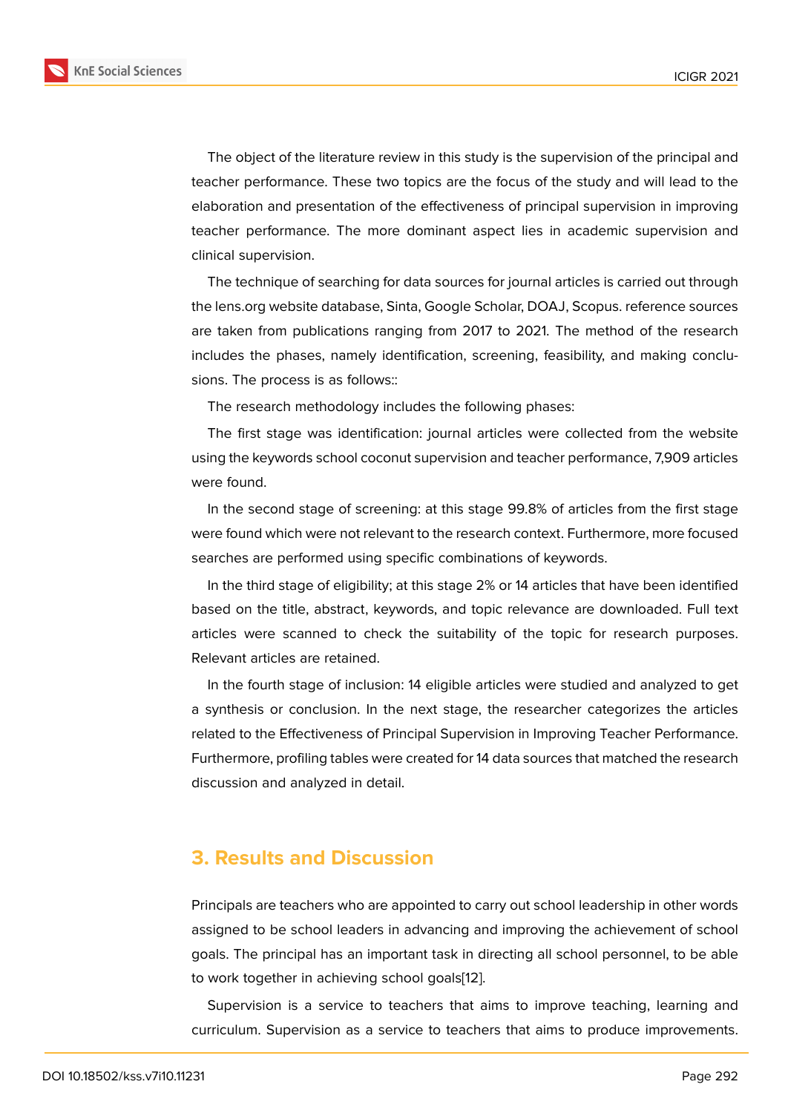The object of the literature review in this study is the supervision of the principal and teacher performance. These two topics are the focus of the study and will lead to the elaboration and presentation of the effectiveness of principal supervision in improving teacher performance. The more dominant aspect lies in academic supervision and clinical supervision.

The technique of searching for data sources for journal articles is carried out through the lens.org website database, Sinta, Google Scholar, DOAJ, Scopus. reference sources are taken from publications ranging from 2017 to 2021. The method of the research includes the phases, namely identification, screening, feasibility, and making conclusions. The process is as follows::

The research methodology includes the following phases:

The first stage was identification: journal articles were collected from the website using the keywords school coconut supervision and teacher performance, 7,909 articles were found.

In the second stage of screening: at this stage 99.8% of articles from the first stage were found which were not relevant to the research context. Furthermore, more focused searches are performed using specific combinations of keywords.

In the third stage of eligibility; at this stage 2% or 14 articles that have been identified based on the title, abstract, keywords, and topic relevance are downloaded. Full text articles were scanned to check the suitability of the topic for research purposes. Relevant articles are retained.

In the fourth stage of inclusion: 14 eligible articles were studied and analyzed to get a synthesis or conclusion. In the next stage, the researcher categorizes the articles related to the Effectiveness of Principal Supervision in Improving Teacher Performance. Furthermore, profiling tables were created for 14 data sources that matched the research discussion and analyzed in detail.

### **3. Results and Discussion**

Principals are teachers who are appointed to carry out school leadership in other words assigned to be school leaders in advancing and improving the achievement of school goals. The principal has an important task in directing all school personnel, to be able to work together in achieving school goals[12].

Supervision is a service to teachers that aims to improve teaching, learning and curriculum. Supervision as a service to te[ach](#page-9-0)ers that aims to produce improvements.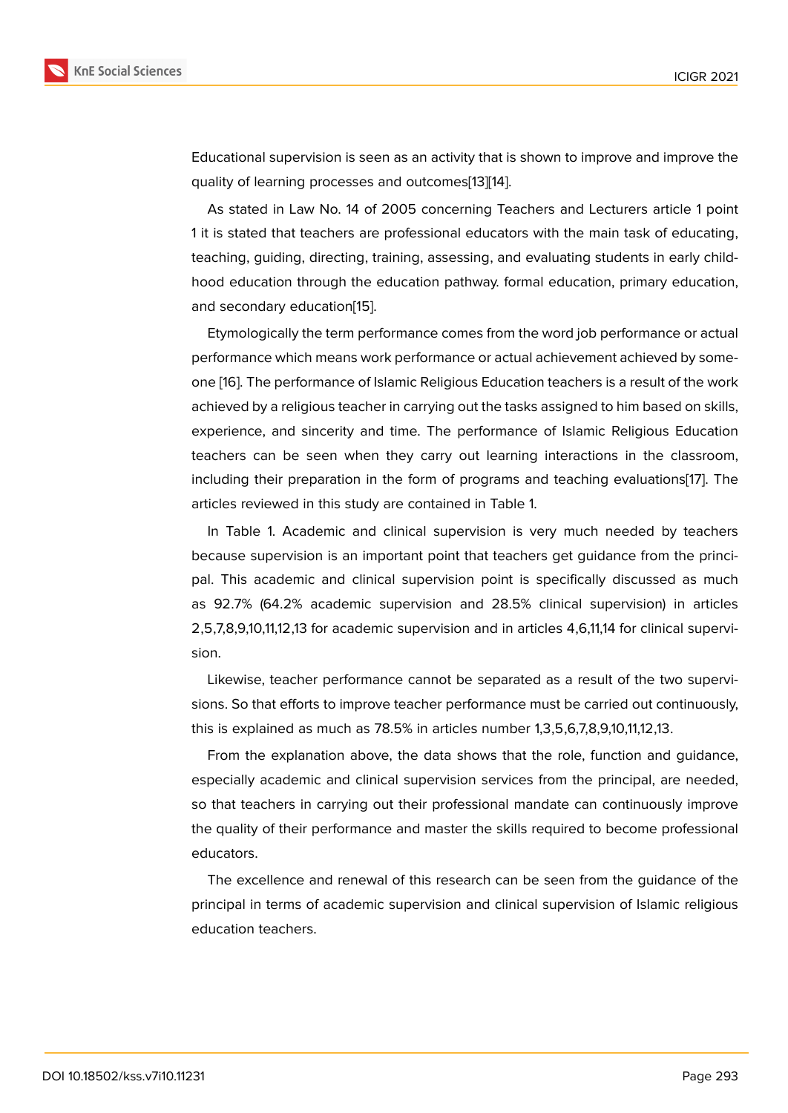Educational supervision is seen as an activity that is shown to improve and improve the quality of learning processes and outcomes[13][14].

As stated in Law No. 14 of 2005 concerning Teachers and Lecturers article 1 point 1 it is stated that teachers are professional educators with the main task of educating, teaching, guiding, directing, training, assess[ing](#page-9-1)[, an](#page-9-2)d evaluating students in early childhood education through the education pathway. formal education, primary education, and secondary education[15].

Etymologically the term performance comes from the word job performance or actual performance which means work performance or actual achievement achieved by someone [16]. The performance [of](#page-9-3) Islamic Religious Education teachers is a result of the work achieved by a religious teacher in carrying out the tasks assigned to him based on skills, experience, and sincerity and time. The performance of Islamic Religious Education teac[her](#page-9-4)s can be seen when they carry out learning interactions in the classroom, including their preparation in the form of programs and teaching evaluations[17]. The articles reviewed in this study are contained in Table 1.

In Table 1. Academic and clinical supervision is very much needed by teachers because supervision is an important point that teachers get guidance from th[e p](#page-9-5)rincipal. This academic and clinical supervision point is specifically discussed as much as 92.7% (64.2% academic supervision and 28.5% clinical supervision) in articles 2,5,7,8,9,10,11,12,13 for academic supervision and in articles 4,6,11,14 for clinical supervision.

Likewise, teacher performance cannot be separated as a result of the two supervisions. So that efforts to improve teacher performance must be carried out continuously, this is explained as much as 78.5% in articles number 1,3,5,6,7,8,9,10,11,12,13.

From the explanation above, the data shows that the role, function and guidance, especially academic and clinical supervision services from the principal, are needed, so that teachers in carrying out their professional mandate can continuously improve the quality of their performance and master the skills required to become professional educators.

The excellence and renewal of this research can be seen from the guidance of the principal in terms of academic supervision and clinical supervision of Islamic religious education teachers.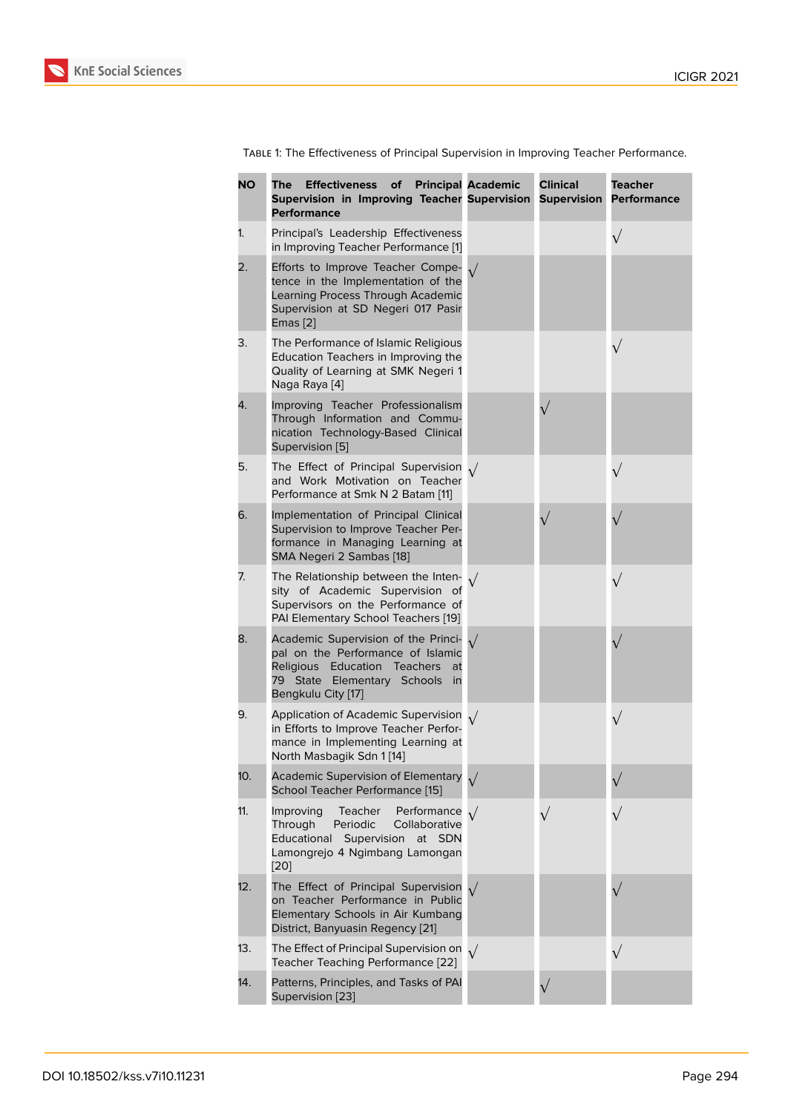Table 1: The Effectiveness of Principal Supervision in Improving Teacher Performance.

| <b>NO</b> | <b>Effectiveness</b><br>The<br>of<br>Supervision in Improving Teacher Supervision<br><b>Performance</b>                                                                   | <b>Principal Academic</b> | <b>Clinical</b><br><b>Supervision</b> | <b>Teacher</b><br><b>Performance</b> |
|-----------|---------------------------------------------------------------------------------------------------------------------------------------------------------------------------|---------------------------|---------------------------------------|--------------------------------------|
| 1.        | Principal's Leadership Effectiveness<br>in Improving Teacher Performance [1]                                                                                              |                           |                                       | $\sqrt{}$                            |
| 2.        | Efforts to Improve Teacher Compe-<br>tence in the Implementation of the<br>Learning Process Through Academic<br>Supervision at SD Negeri 017 Pasir<br>$E$ mas $[2]$       |                           |                                       |                                      |
| 3.        | The Performance of Islamic Religious<br>Education Teachers in Improving the<br>Quality of Learning at SMK Negeri 1<br>Naga Raya [4]                                       |                           |                                       | $\sqrt{}$                            |
| 4.        | Improving Teacher Professionalism<br>Through Information and Commu-<br>nication Technology-Based Clinical<br>Supervision [5]                                              |                           | $\sqrt{}$                             |                                      |
| 5.        | The Effect of Principal Supervision $\sqrt{}$<br>and Work Motivation on Teacher<br>Performance at Smk N 2 Batam [11]                                                      |                           |                                       | $\sqrt{}$                            |
| 6.        | Implementation of Principal Clinical<br>Supervision to Improve Teacher Per-<br>formance in Managing Learning at<br>SMA Negeri 2 Sambas [18]                               |                           |                                       |                                      |
| 7.        | The Relationship between the Inten-<br>sity of Academic Supervision of<br>Supervisors on the Performance of<br>PAI Elementary School Teachers [19]                        |                           |                                       | $\sqrt{}$                            |
| 8.        | Academic Supervision of the Princi-<br>pal on the Performance of Islamic<br>Religious Education Teachers<br>at<br>79 State Elementary Schools<br>in<br>Bengkulu City [17] | $\sqrt{ }$                |                                       |                                      |
| 9.        | Application of Academic Supervision $\sqrt{}$<br>in Efforts to Improve Teacher Perfor-<br>mance in Implementing Learning at<br>North Masbagik Sdn 1 [14]                  |                           |                                       | $\sqrt{}$                            |
| 10.       | <b>Academic Supervision of Elementary</b><br>School Teacher Performance [15]                                                                                              |                           |                                       |                                      |
| 11.       | Improving<br>Teacher<br>Performance<br>Through<br>Periodic<br>Collaborative<br>Educational<br>Supervision<br>at SDN<br>Lamongrejo 4 Ngimbang Lamongan<br>[20]             |                           | $\sqrt{}$                             |                                      |
| 12.       | The Effect of Principal Supervision<br>on Teacher Performance in Public<br>Elementary Schools in Air Kumbang<br>District, Banyuasin Regency [21]                          |                           |                                       |                                      |
| 13.       | The Effect of Principal Supervision on $\sqrt{}$<br>Teacher Teaching Performance [22]                                                                                     |                           |                                       | $\sqrt{}$                            |
| 14.       | Patterns, Principles, and Tasks of PAI<br>Supervision [23]                                                                                                                |                           |                                       |                                      |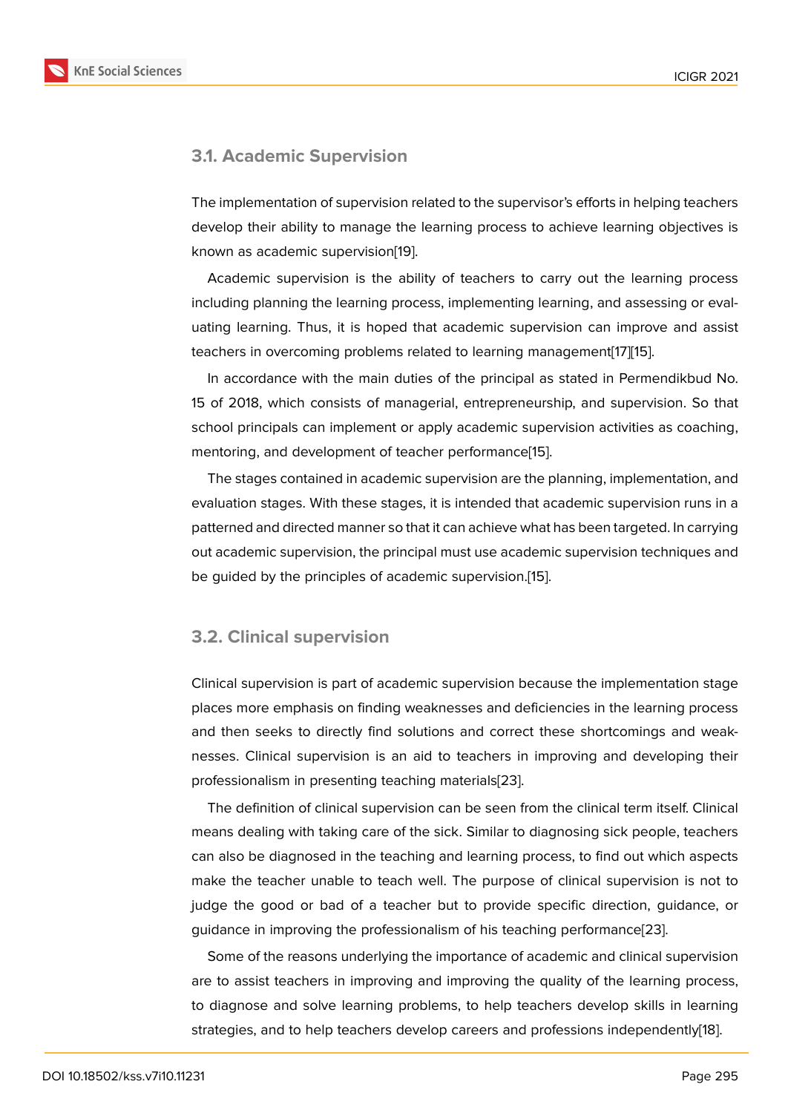### **3.1. Academic Supervision**

The implementation of supervision related to the supervisor's efforts in helping teachers develop their ability to manage the learning process to achieve learning objectives is known as academic supervision[19].

Academic supervision is the ability of teachers to carry out the learning process including planning the learning process, implementing learning, and assessing or evaluating learning. Thus, it is hop[ed](#page-9-7) that academic supervision can improve and assist teachers in overcoming problems related to learning management[17][15].

In accordance with the main duties of the principal as stated in Permendikbud No. 15 of 2018, which consists of managerial, entrepreneurship, and supervision. So that school principals can implement or apply academic supervision ac[tiv](#page-9-5)i[ties](#page-9-3) as coaching, mentoring, and development of teacher performance[15].

The stages contained in academic supervision are the planning, implementation, and evaluation stages. With these stages, it is intended that academic supervision runs in a patterned and directed manner so that it can achieve w[ha](#page-9-3)t has been targeted. In carrying out academic supervision, the principal must use academic supervision techniques and be guided by the principles of academic supervision.[15].

#### **3.2. Clinical supervision**

Clinical supervision is part of academic supervision because the implementation stage places more emphasis on finding weaknesses and deficiencies in the learning process and then seeks to directly find solutions and correct these shortcomings and weaknesses. Clinical supervision is an aid to teachers in improving and developing their professionalism in presenting teaching materials[23].

The definition of clinical supervision can be seen from the clinical term itself. Clinical means dealing with taking care of the sick. Similar to diagnosing sick people, teachers can also be diagnosed in the teaching and learn[ing](#page-9-10) process, to find out which aspects make the teacher unable to teach well. The purpose of clinical supervision is not to judge the good or bad of a teacher but to provide specific direction, guidance, or guidance in improving the professionalism of his teaching performance[23].

Some of the reasons underlying the importance of academic and clinical supervision are to assist teachers in improving and improving the quality of the learning process, to diagnose and solve learning problems, to help teachers develop s[kills](#page-9-10) in learning strategies, and to help teachers develop careers and professions independently[18].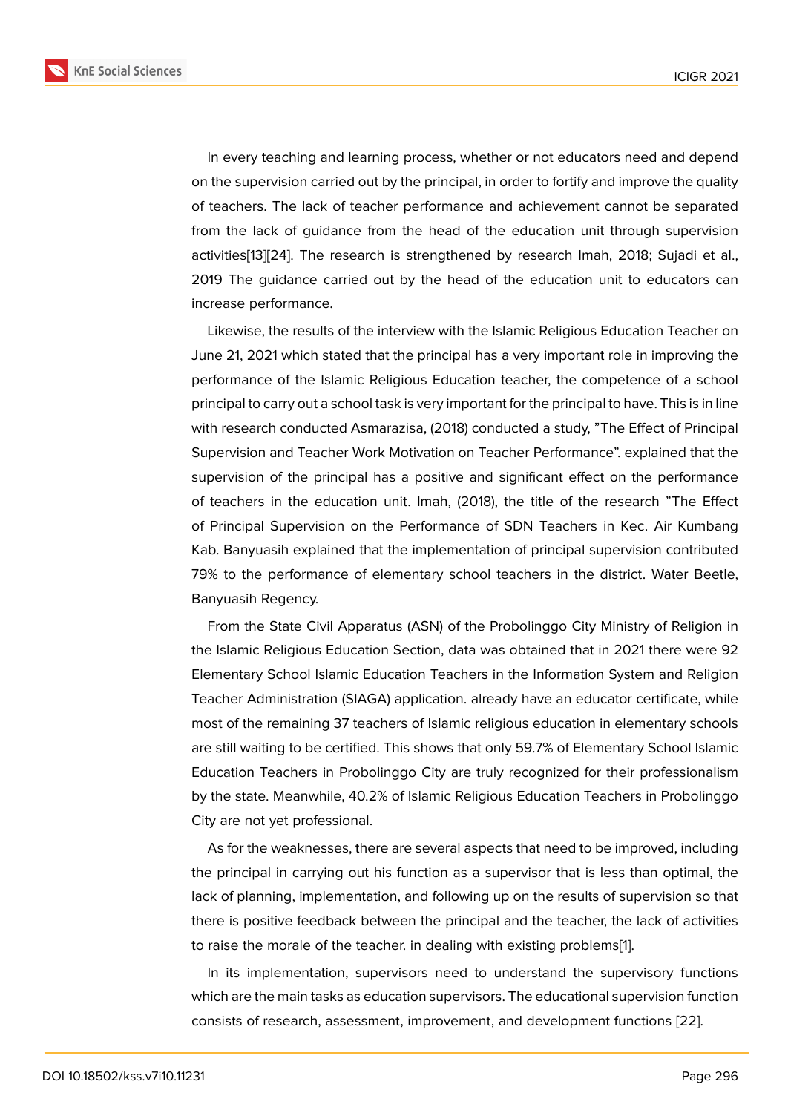In every teaching and learning process, whether or not educators need and depend on the supervision carried out by the principal, in order to fortify and improve the quality of teachers. The lack of teacher performance and achievement cannot be separated from the lack of guidance from the head of the education unit through supervision activities[13][24]. The research is strengthened by research Imah, 2018; Sujadi et al., 2019 The guidance carried out by the head of the education unit to educators can increase performance.

Likewi[se,](#page-9-1) [the](#page-9-11) results of the interview with the Islamic Religious Education Teacher on June 21, 2021 which stated that the principal has a very important role in improving the performance of the Islamic Religious Education teacher, the competence of a school principal to carry out a school task is very important for the principal to have. This is in line with research conducted Asmarazisa, (2018) conducted a study, "The Effect of Principal Supervision and Teacher Work Motivation on Teacher Performance". explained that the supervision of the principal has a positive and significant effect on the performance of teachers in the education unit. Imah, (2018), the title of the research "The Effect of Principal Supervision on the Performance of SDN Teachers in Kec. Air Kumbang Kab. Banyuasih explained that the implementation of principal supervision contributed 79% to the performance of elementary school teachers in the district. Water Beetle, Banyuasih Regency.

From the State Civil Apparatus (ASN) of the Probolinggo City Ministry of Religion in the Islamic Religious Education Section, data was obtained that in 2021 there were 92 Elementary School Islamic Education Teachers in the Information System and Religion Teacher Administration (SIAGA) application. already have an educator certificate, while most of the remaining 37 teachers of Islamic religious education in elementary schools are still waiting to be certified. This shows that only 59.7% of Elementary School Islamic Education Teachers in Probolinggo City are truly recognized for their professionalism by the state. Meanwhile, 40.2% of Islamic Religious Education Teachers in Probolinggo City are not yet professional.

As for the weaknesses, there are several aspects that need to be improved, including the principal in carrying out his function as a supervisor that is less than optimal, the lack of planning, implementation, and following up on the results of supervision so that there is positive feedback between the principal and the teacher, the lack of activities to raise the morale of the teacher. in dealing with existing problems[1].

In its implementation, supervisors need to understand the supervisory functions which are the main tasks as education supervisors. The educational supervision function consists of research, assessment, improvement, and development f[un](#page-8-0)ctions [22].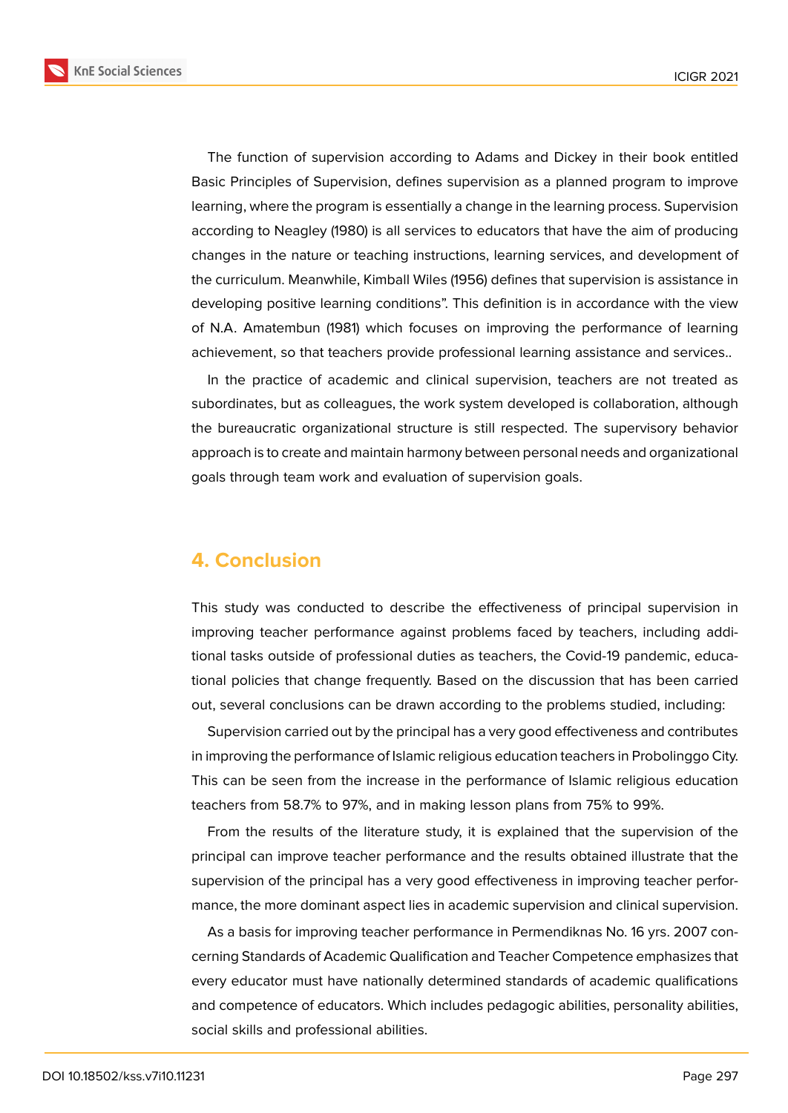**KnE Social Sciences** 



The function of supervision according to Adams and Dickey in their book entitled Basic Principles of Supervision, defines supervision as a planned program to improve learning, where the program is essentially a change in the learning process. Supervision according to Neagley (1980) is all services to educators that have the aim of producing changes in the nature or teaching instructions, learning services, and development of the curriculum. Meanwhile, Kimball Wiles (1956) defines that supervision is assistance in developing positive learning conditions". This definition is in accordance with the view of N.A. Amatembun (1981) which focuses on improving the performance of learning achievement, so that teachers provide professional learning assistance and services..

In the practice of academic and clinical supervision, teachers are not treated as subordinates, but as colleagues, the work system developed is collaboration, although the bureaucratic organizational structure is still respected. The supervisory behavior approach is to create and maintain harmony between personal needs and organizational goals through team work and evaluation of supervision goals.

## **4. Conclusion**

This study was conducted to describe the effectiveness of principal supervision in improving teacher performance against problems faced by teachers, including additional tasks outside of professional duties as teachers, the Covid-19 pandemic, educational policies that change frequently. Based on the discussion that has been carried out, several conclusions can be drawn according to the problems studied, including:

Supervision carried out by the principal has a very good effectiveness and contributes in improving the performance of Islamic religious education teachers in Probolinggo City. This can be seen from the increase in the performance of Islamic religious education teachers from 58.7% to 97%, and in making lesson plans from 75% to 99%.

From the results of the literature study, it is explained that the supervision of the principal can improve teacher performance and the results obtained illustrate that the supervision of the principal has a very good effectiveness in improving teacher performance, the more dominant aspect lies in academic supervision and clinical supervision.

As a basis for improving teacher performance in Permendiknas No. 16 yrs. 2007 concerning Standards of Academic Qualification and Teacher Competence emphasizes that every educator must have nationally determined standards of academic qualifications and competence of educators. Which includes pedagogic abilities, personality abilities, social skills and professional abilities.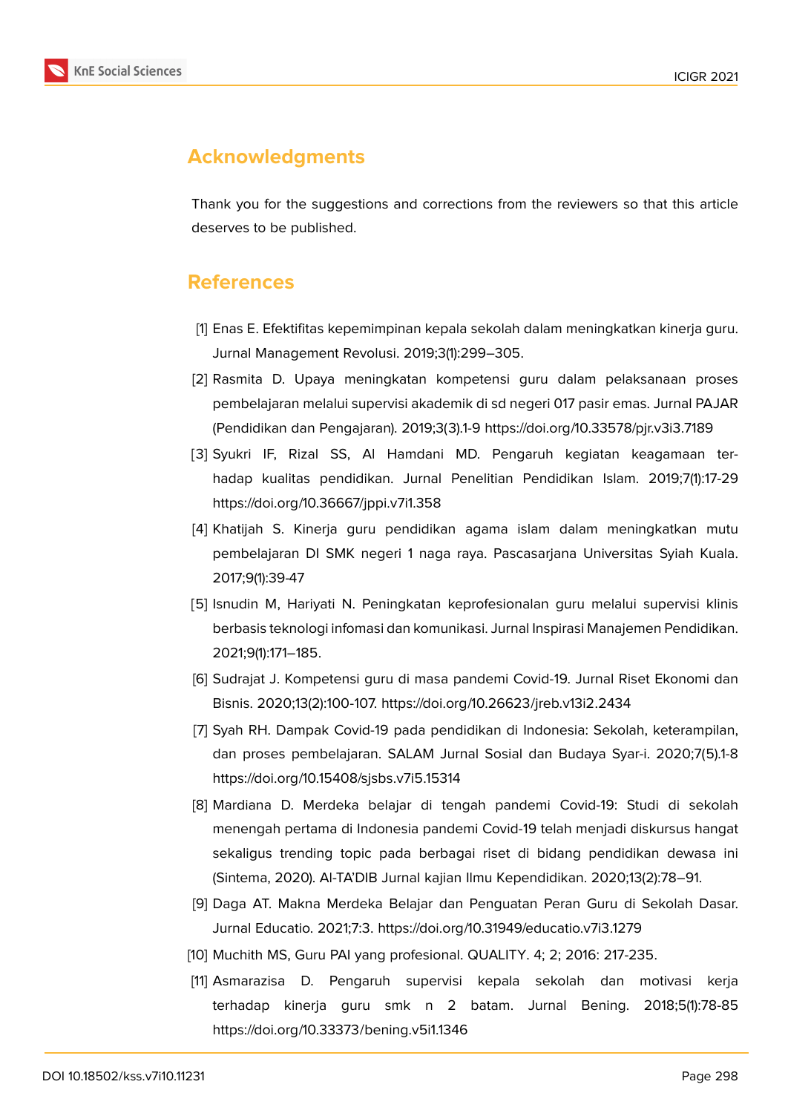

## **Acknowledgments**

Thank you for the suggestions and corrections from the reviewers so that this article deserves to be published.

## **References**

- <span id="page-8-0"></span>[1] Enas E. Efektifitas kepemimpinan kepala sekolah dalam meningkatkan kinerja guru. Jurnal Management Revolusi. 2019;3(1):299–305.
- <span id="page-8-7"></span>[2] Rasmita D. Upaya meningkatan kompetensi guru dalam pelaksanaan proses pembelajaran melalui supervisi akademik di sd negeri 017 pasir emas. Jurnal PAJAR (Pendidikan dan Pengajaran). 2019;3(3).1-9 https://doi.org/10.33578/pjr.v3i3.7189
- [3] Syukri IF, Rizal SS, Al Hamdani MD. Pengaruh kegiatan keagamaan terhadap kualitas pendidikan. Jurnal Penelitian Pendidikan Islam. 2019;7(1):17-29 https://doi.org/10.36667/jppi.v7i1.358
- <span id="page-8-1"></span>[4] Khatijah S. Kinerja guru pendidikan agama islam dalam meningkatkan mutu pembelajaran DI SMK negeri 1 naga raya. Pascasarjana Universitas Syiah Kuala. 2017;9(1):39-47
- <span id="page-8-2"></span>[5] Isnudin M, Hariyati N. Peningkatan keprofesionalan guru melalui supervisi klinis berbasis teknologi infomasi dan komunikasi. Jurnal Inspirasi Manajemen Pendidikan. 2021;9(1):171–185.
- <span id="page-8-3"></span>[6] Sudrajat J. Kompetensi guru di masa pandemi Covid-19. Jurnal Riset Ekonomi dan Bisnis. 2020;13(2):100-107. https://doi.org/10.26623/jreb.v13i2.2434
- <span id="page-8-4"></span>[7] Syah RH. Dampak Covid-19 pada pendidikan di Indonesia: Sekolah, keterampilan, dan proses pembelajaran. SALAM Jurnal Sosial dan Budaya Syar-i. 2020;7(5).1-8 https://doi.org/10.15408/sjsbs.v7i5.15314
- <span id="page-8-5"></span>[8] Mardiana D. Merdeka belajar di tengah pandemi Covid-19: Studi di sekolah menengah pertama di Indonesia pandemi Covid-19 telah menjadi diskursus hangat sekaligus trending topic pada berbagai riset di bidang pendidikan dewasa ini (Sintema, 2020). Al-TA'DIB Jurnal kajian Ilmu Kependidikan. 2020;13(2):78–91.
- <span id="page-8-6"></span>[9] Daga AT. Makna Merdeka Belajar dan Penguatan Peran Guru di Sekolah Dasar. Jurnal Educatio. 2021;7:3. https://doi.org/10.31949/educatio.v7i3.1279
- <span id="page-8-8"></span>[10] Muchith MS, Guru PAI yang profesional. QUALITY. 4; 2; 2016: 217-235.
- <span id="page-8-9"></span>[11] Asmarazisa D. Pengaruh supervisi kepala sekolah dan motivasi kerja terhadap kinerja guru smk n 2 batam. Jurnal Bening. 2018;5(1):78-85 https://doi.org/10.33373/bening.v5i1.1346